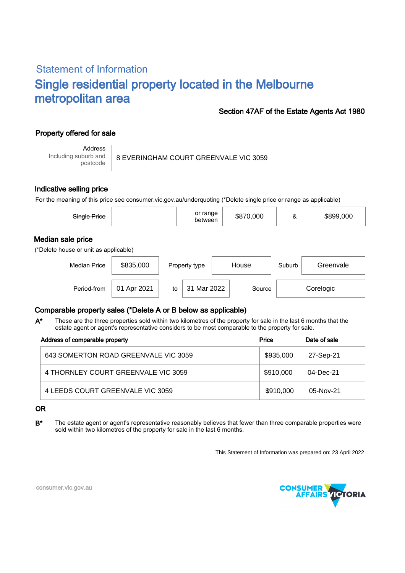# Statement of Information Single residential property located in the Melbourne metropolitan area

### Section 47AF of the Estate Agents Act 1980

# Property offered for sale

Address Including suburb and postcode

8 EVERINGHAM COURT GREENVALE VIC 3059

#### Indicative selling price

For the meaning of this price see consumer.vic.gov.au/underquoting (\*Delete single price or range as applicable)

| Single Price                                               |             |    | or range<br>between |       | \$870,000 | &      | \$899,000 |  |
|------------------------------------------------------------|-------------|----|---------------------|-------|-----------|--------|-----------|--|
| Median sale price<br>(*Delete house or unit as applicable) |             |    |                     |       |           |        |           |  |
| <b>Median Price</b>                                        | \$835,000   |    | Property type       | House |           | Suburb | Greenvale |  |
| Period-from                                                | 01 Apr 2021 | to | Mar 2022<br>31      |       | Source    |        | Corelogic |  |

## Comparable property sales (\*Delete A or B below as applicable)

These are the three properties sold within two kilometres of the property for sale in the last 6 months that the estate agent or agent's representative considers to be most comparable to the property for sale. A\*

| Address of comparable property       | Price     | Date of sale |  |
|--------------------------------------|-----------|--------------|--|
| 643 SOMERTON ROAD GREENVALE VIC 3059 | \$935,000 | 27-Sep-21    |  |
| 4 THORNLEY COURT GREENVALE VIC 3059  | \$910,000 | 04-Dec-21    |  |
| 4 LEEDS COURT GREENVALE VIC 3059     | \$910,000 | 05-Nov-21    |  |

#### OR

B<sup>\*</sup> The estate agent or agent's representative reasonably believes that fewer than three comparable properties were sold within two kilometres of the property for sale in the last 6 months.

This Statement of Information was prepared on: 23 April 2022



consumer.vic.gov.au